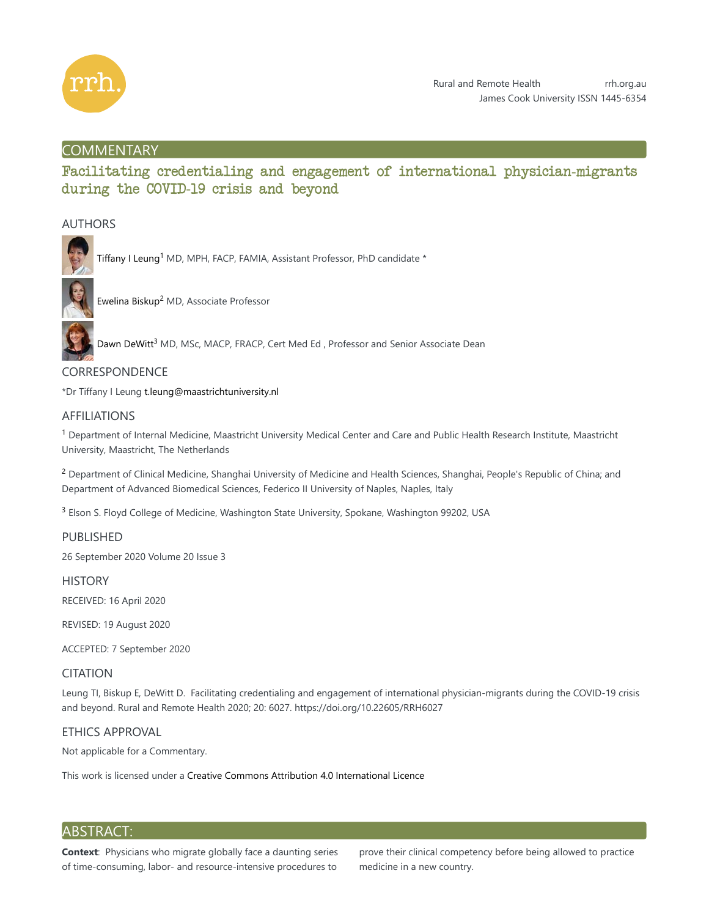

## **COMMENTARY**

# Facilitating credentialing and engagement of international physician-migrants during the COVID-19 crisis and beyond

## AUTHORS



Tiffany I Leung<sup>1</sup> MD, MPH, FACP, FAMIA, Assistant Professor, PhD candidate \*



Ewelina Biskup<sup>2</sup> MD, Associate Professor

Dawn DeWitt<sup>3</sup> MD, MSc, MACP, FRACP, Cert Med Ed, Professor and Senior Associate Dean

## **CORRESPONDENCE**

\*Dr Tiffany I Leung t.leung@maastrichtuniversity.nl

## AFFILIATIONS

 $^1$  Department of Internal Medicine, Maastricht University Medical Center and Care and Public Health Research Institute, Maastricht University, Maastricht, The Netherlands

<sup>2</sup> Department of Clinical Medicine, Shanghai University of Medicine and Health Sciences, Shanghai, People's Republic of China; and Department of Advanced Biomedical Sciences, Federico II University of Naples, Naples, Italy

 $3$  Elson S. Floyd College of Medicine, Washington State University, Spokane, Washington 99202, USA

PUBLISHED

26 September 2020 Volume 20 Issue 3

**HISTORY** RECEIVED: 16 April 2020

REVISED: 19 August 2020

ACCEPTED: 7 September 2020

## CITATION

Leung TI, Biskup E, DeWitt D. Facilitating credentialing and engagement of international physician-migrants during the COVID-19 crisis and beyond. Rural and Remote Health 2020; 20: 6027. https://doi.org/10.22605/RRH6027

## ETHICS APPROVAL

Not applicable for a Commentary.

This work is licensed under a Creative Commons Attribution 4.0 International Licence

## ABSTRACT:

**Context**: Physicians who migrate globally face a daunting series of time-consuming, labor- and resource-intensive procedures to

prove their clinical competency before being allowed to practice medicine in a new country.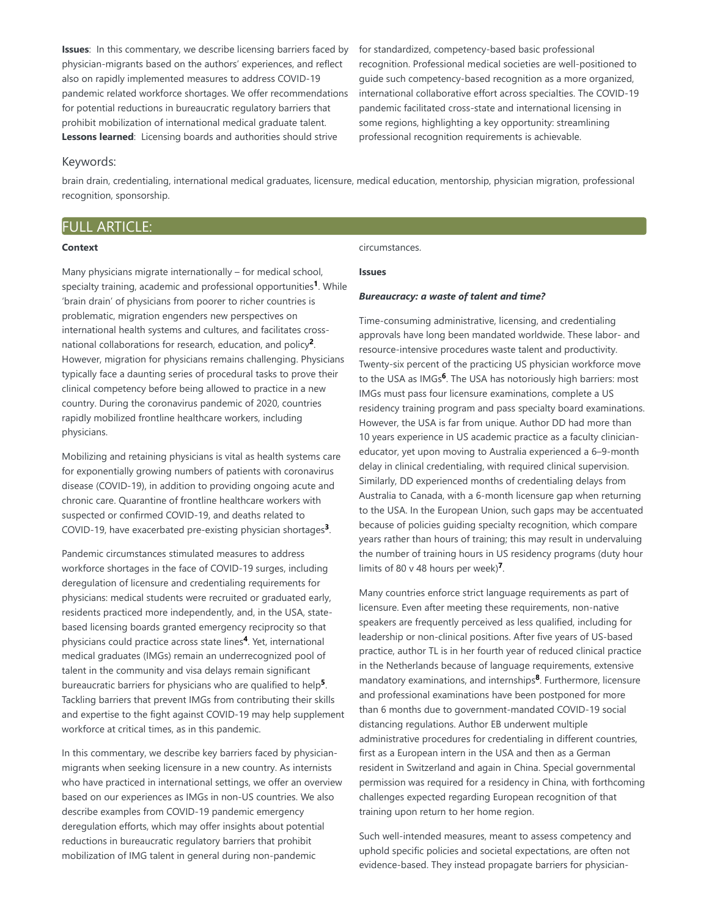**Issues**: In this commentary, we describe licensing barriers faced by physician-migrants based on the authors' experiences, and reflect also on rapidly implemented measures to address COVID-19 pandemic related workforce shortages. We offer recommendations for potential reductions in bureaucratic regulatory barriers that prohibit mobilization of international medical graduate talent. **Lessons learned**: Licensing boards and authorities should strive

for standardized, competency-based basic professional recognition. Professional medical societies are well-positioned to guide such competency-based recognition as a more organized, international collaborative effort across specialties. The COVID-19 pandemic facilitated cross-state and international licensing in some regions, highlighting a key opportunity: streamlining professional recognition requirements is achievable.

#### Keywords:

brain drain, credentialing, international medical graduates, licensure, medical education, mentorship, physician migration, professional recognition, sponsorship.

### FULL ARTICLE:

#### **Context**

Many physicians migrate internationally – for medical school, specialty training, academic and professional opportunities<sup>1</sup>. While 'brain drain' of physicians from poorer to richer countries is problematic, migration engenders new perspectives on international health systems and cultures, and facilitates crossnational collaborations for research, education, and policy<sup>2</sup>. However, migration for physicians remains challenging. Physicians typically face a daunting series of procedural tasks to prove their clinical competency before being allowed to practice in a new country. During the coronavirus pandemic of 2020, countries rapidly mobilized frontline healthcare workers, including physicians.

Mobilizing and retaining physicians is vital as health systems care for exponentially growing numbers of patients with coronavirus disease (COVID-19), in addition to providing ongoing acute and chronic care. Quarantine of frontline healthcare workers with suspected or confirmed COVID-19, and deaths related to COVID-19, have exacerbated pre-existing physician shortages<sup>3</sup>.

Pandemic circumstances stimulated measures to address workforce shortages in the face of COVID-19 surges, including deregulation of licensure and credentialing requirements for physicians: medical students were recruited or graduated early, residents practiced more independently, and, in the USA, statebased licensing boards granted emergency reciprocity so that physicians could practice across state lines<sup>4</sup>. Yet, international medical graduates (IMGs) remain an underrecognized pool of talent in the community and visa delays remain significant bureaucratic barriers for physicians who are qualified to help<sup>5</sup>. Tackling barriers that prevent IMGs from contributing their skills and expertise to the fight against COVID-19 may help supplement workforce at critical times, as in this pandemic.

In this commentary, we describe key barriers faced by physicianmigrants when seeking licensure in a new country. As internists who have practiced in international settings, we offer an overview based on our experiences as IMGs in non-US countries. We also describe examples from COVID-19 pandemic emergency deregulation efforts, which may offer insights about potential reductions in bureaucratic regulatory barriers that prohibit mobilization of IMG talent in general during non-pandemic

#### circumstances.

#### **Issues**

#### *Bureaucracy: a waste of talent and time?*

Time-consuming administrative, licensing, and credentialing approvals have long been mandated worldwide. These labor- and resource-intensive procedures waste talent and productivity. Twenty-six percent of the practicing US physician workforce move to the USA as IMGs<sup>6</sup>. The USA has notoriously high barriers: most IMGs must pass four licensure examinations, complete a US residency training program and pass specialty board examinations. However, the USA is far from unique. Author DD had more than 10 years experience in US academic practice as a faculty clinicianeducator, yet upon moving to Australia experienced a 6–9-month delay in clinical credentialing, with required clinical supervision. Similarly, DD experienced months of credentialing delays from Australia to Canada, with a 6-month licensure gap when returning to the USA. In the European Union, such gaps may be accentuated because of policies guiding specialty recognition, which compare years rather than hours of training; this may result in undervaluing the number of training hours in US residency programs (duty hour limits of 80 v 48 hours per week)<sup>7</sup>.

Many countries enforce strict language requirements as part of licensure. Even after meeting these requirements, non-native speakers are frequently perceived as less qualified, including for leadership or non-clinical positions. After five years of US-based practice, author TL is in her fourth year of reduced clinical practice in the Netherlands because of language requirements, extensive mandatory examinations, and internships<sup>8</sup>. Furthermore, licensure and professional examinations have been postponed for more than 6 months due to government-mandated COVID-19 social distancing regulations. Author EB underwent multiple administrative procedures for credentialing in different countries, first as a European intern in the USA and then as a German resident in Switzerland and again in China. Special governmental permission was required for a residency in China, with forthcoming challenges expected regarding European recognition of that training upon return to her home region.

Such well-intended measures, meant to assess competency and uphold specific policies and societal expectations, are often not evidence-based. They instead propagate barriers for physician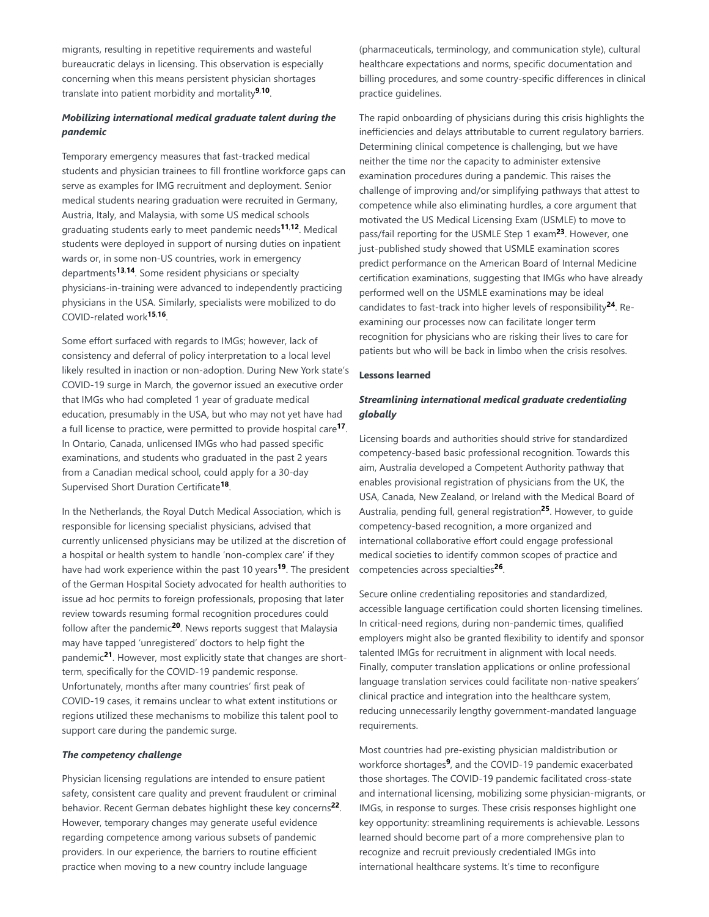migrants, resulting in repetitive requirements and wasteful bureaucratic delays in licensing. This observation is especially concerning when this means persistent physician shortages translate into patient morbidity and mortality<sup>9,10</sup>.

## *Mobilizing international medical graduate talent during the pandemic*

Temporary emergency measures that fast-tracked medical students and physician trainees to fill frontline workforce gaps can serve as examples for IMG recruitment and deployment. Senior medical students nearing graduation were recruited in Germany, Austria, Italy, and Malaysia, with some US medical schools graduating students early to meet pandemic needs<sup>11,12</sup>. Medical students were deployed in support of nursing duties on inpatient wards or, in some non-US countries, work in emergency departments<sup>13,14</sup>. Some resident physicians or specialty physicians-in-training were advanced to independently practicing physicians in the USA. Similarly, specialists were mobilized to do COVID-related work<sup>15,16</sup>.

Some effort surfaced with regards to IMGs; however, lack of consistency and deferral of policy interpretation to a local level likely resulted in inaction or non-adoption. During New York state's COVID-19 surge in March, the governor issued an executive order that IMGs who had completed 1 year of graduate medical education, presumably in the USA, but who may not yet have had a full license to practice, were permitted to provide hospital care<sup>17</sup>. In Ontario, Canada, unlicensed IMGs who had passed specific examinations, and students who graduated in the past 2 years from a Canadian medical school, could apply for a 30-day Supervised Short Duration Certificate<sup>18</sup>.

In the Netherlands, the Royal Dutch Medical Association, which is responsible for licensing specialist physicians, advised that currently unlicensed physicians may be utilized at the discretion of a hospital or health system to handle 'non-complex care' if they have had work experience within the past 10 years<sup>19</sup>. The president of the German Hospital Society advocated for health authorities to issue ad hoc permits to foreign professionals, proposing that later review towards resuming formal recognition procedures could follow after the pandemic<sup>20</sup>. News reports suggest that Malaysia may have tapped 'unregistered' doctors to help fight the pandemic<sup>21</sup>. However, most explicitly state that changes are shortterm, specifically for the COVID-19 pandemic response. Unfortunately, months after many countries' first peak of COVID-19 cases, it remains unclear to what extent institutions or regions utilized these mechanisms to mobilize this talent pool to support care during the pandemic surge.

#### *The competency challenge*

Physician licensing regulations are intended to ensure patient safety, consistent care quality and prevent fraudulent or criminal behavior. Recent German debates highlight these key concerns<sup>22</sup>. However, temporary changes may generate useful evidence regarding competence among various subsets of pandemic providers. In our experience, the barriers to routine efficient practice when moving to a new country include language

(pharmaceuticals, terminology, and communication style), cultural healthcare expectations and norms, specific documentation and billing procedures, and some country-specific differences in clinical practice guidelines.

The rapid onboarding of physicians during this crisis highlights the inefficiencies and delays attributable to current regulatory barriers. Determining clinical competence is challenging, but we have neither the time nor the capacity to administer extensive examination procedures during a pandemic. This raises the challenge of improving and/or simplifying pathways that attest to competence while also eliminating hurdles, a core argument that motivated the US Medical Licensing Exam (USMLE) to move to pass/fail reporting for the USMLE Step 1 exam<sup>23</sup>. However, one just-published study showed that USMLE examination scores predict performance on the American Board of Internal Medicine certification examinations, suggesting that IMGs who have already performed well on the USMLE examinations may be ideal candidates to fast-track into higher levels of responsibility<sup>24</sup>. Reexamining our processes now can facilitate longer term recognition for physicians who are risking their lives to care for patients but who will be back in limbo when the crisis resolves.

#### **Lessons learned**

### *Streamlining international medical graduate credentialing globally*

Licensing boards and authorities should strive for standardized competency-based basic professional recognition. Towards this aim, Australia developed a Competent Authority pathway that enables provisional registration of physicians from the UK, the USA, Canada, New Zealand, or Ireland with the Medical Board of Australia, pending full, general registration<sup>25</sup>. However, to guide competency-based recognition, a more organized and international collaborative effort could engage professional medical societies to identify common scopes of practice and competencies across specialties<sup>26</sup>.

Secure online credentialing repositories and standardized, accessible language certification could shorten licensing timelines. In critical-need regions, during non-pandemic times, qualified employers might also be granted flexibility to identify and sponsor talented IMGs for recruitment in alignment with local needs. Finally, computer translation applications or online professional language translation services could facilitate non-native speakers' clinical practice and integration into the healthcare system, reducing unnecessarily lengthy government-mandated language requirements.

Most countries had pre-existing physician maldistribution or workforce shortages<sup>9</sup>, and the COVID-19 pandemic exacerbated those shortages. The COVID-19 pandemic facilitated cross-state and international licensing, mobilizing some physician-migrants, or IMGs, in response to surges. These crisis responses highlight one key opportunity: streamlining requirements is achievable. Lessons learned should become part of a more comprehensive plan to recognize and recruit previously credentialed IMGs into international healthcare systems. It's time to reconfigure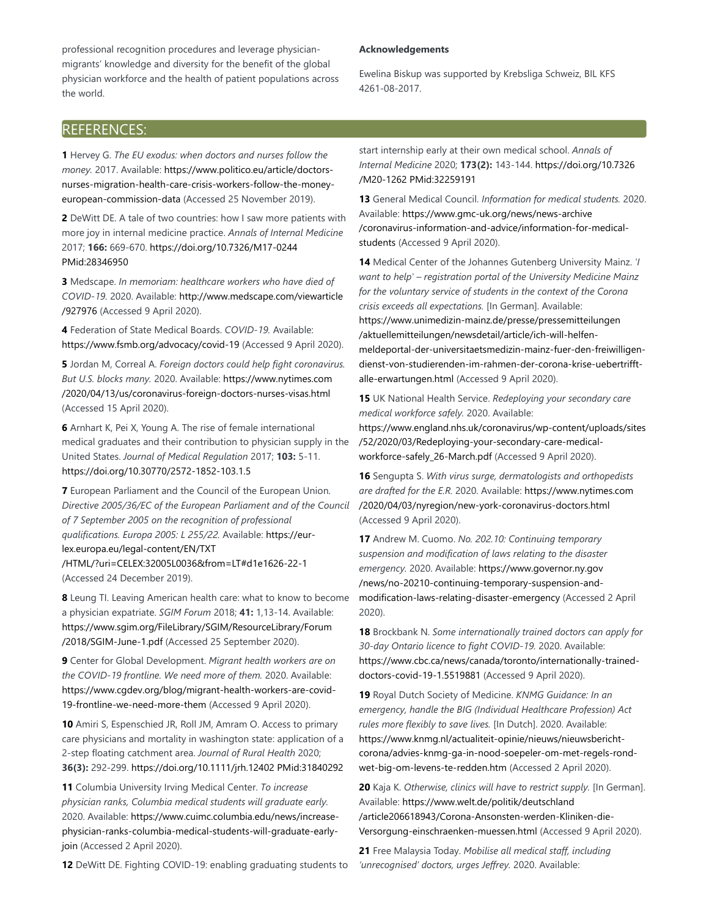professional recognition procedures and leverage physicianmigrants' knowledge and diversity for the benefit of the global physician workforce and the health of patient populations across the world.

#### **Acknowledgements**

Ewelina Biskup was supported by Krebsliga Schweiz, BIL KFS 4261-08-2017.

## REFERENCES:

**1** Hervey G. *The EU exodus: when doctors and nurses follow the money.* 2017. Available: https://www.politico.eu/article/doctorsnurses-migration-health-care-crisis-workers-follow-the-moneyeuropean-commission-data (Accessed 25 November 2019).

**2** DeWitt DE. A tale of two countries: how I saw more patients with more joy in internal medicine practice. *Annals of Internal Medicine* 2017; **166:** 669-670. https://doi.org/10.7326/M17-0244 PMid:28346950

**3** Medscape. *In memoriam: healthcare workers who have died of COVID-19.* 2020. Available: http://www.medscape.com/viewarticle /927976 (Accessed 9 April 2020).

**4** Federation of State Medical Boards. *COVID-19.* Available: https://www.fsmb.org/advocacy/covid-19 (Accessed 9 April 2020).

**5** Jordan M, Correal A. *Foreign doctors could help fight coronavirus. But U.S. blocks many.* 2020. Available: https://www.nytimes.com /2020/04/13/us/coronavirus-foreign-doctors-nurses-visas.html (Accessed 15 April 2020).

**6** Arnhart K, Pei X, Young A. The rise of female international medical graduates and their contribution to physician supply in the United States. *Journal of Medical Regulation* 2017; **103:** 5-11. https://doi.org/10.30770/2572-1852-103.1.5

**7** European Parliament and the Council of the European Union. *Directive 2005/36/EC of the European Parliament and of the Council of 7 September 2005 on the recognition of professional qualifications. Europa 2005: L 255/22.* Available: https://eurlex.europa.eu/legal-content/EN/TXT

/HTML/?uri=CELEX:32005L0036&from=LT#d1e1626-22-1 (Accessed 24 December 2019).

**8** Leung TI. Leaving American health care: what to know to become a physician expatriate. *SGIM Forum* 2018; **41:** 1,13-14. Available: https://www.sgim.org/FileLibrary/SGIM/ResourceLibrary/Forum /2018/SGIM-June-1.pdf (Accessed 25 September 2020).

**9** Center for Global Development. *Migrant health workers are on the COVID-19 frontline. We need more of them.* 2020. Available: https://www.cgdev.org/blog/migrant-health-workers-are-covid-19-frontline-we-need-more-them (Accessed 9 April 2020).

**10** Amiri S, Espenschied JR, Roll JM, Amram O. Access to primary care physicians and mortality in washington state: application of a 2-step floating catchment area. *Journal of Rural Health* 2020; **36(3):** 292-299. https://doi.org/10.1111/jrh.12402 PMid:31840292

**11** Columbia University Irving Medical Center. *To increase physician ranks, Columbia medical students will graduate early.* 2020. Available: https://www.cuimc.columbia.edu/news/increasephysician-ranks-columbia-medical-students-will-graduate-earlyjoin (Accessed 2 April 2020).

**12** DeWitt DE. Fighting COVID-19: enabling graduating students to

start internship early at their own medical school. *Annals of Internal Medicine* 2020; **173(2):** 143-144. https://doi.org/10.7326 /M20-1262 PMid:32259191

**13** General Medical Council. *Information for medical students.* 2020. Available: https://www.gmc-uk.org/news/news-archive /coronavirus-information-and-advice/information-for-medicalstudents (Accessed 9 April 2020).

**14** Medical Center of the Johannes Gutenberg University Mainz. *'I want to help' – registration portal of the University Medicine Mainz for the voluntary service of students in the context of the Corona crisis exceeds all expectations.* [In German]. Available: https://www.unimedizin-mainz.de/presse/pressemitteilungen /aktuellemitteilungen/newsdetail/article/ich-will-helfenmeldeportal-der-universitaetsmedizin-mainz-fuer-den-freiwilligendienst-von-studierenden-im-rahmen-der-corona-krise-uebertrifftalle-erwartungen.html (Accessed 9 April 2020).

**15** UK National Health Service. *Redeploying your secondary care medical workforce safely.* 2020. Available: https://www.england.nhs.uk/coronavirus/wp-content/uploads/sites /52/2020/03/Redeploying-your-secondary-care-medicalworkforce-safely\_26-March.pdf (Accessed 9 April 2020).

**16** Sengupta S. *With virus surge, dermatologists and orthopedists are drafted for the E.R.* 2020. Available: https://www.nytimes.com /2020/04/03/nyregion/new-york-coronavirus-doctors.html (Accessed 9 April 2020).

**17** Andrew M. Cuomo. *No. 202.10: Continuing temporary suspension and modification of laws relating to the disaster emergency.* 2020. Available: https://www.governor.ny.gov /news/no-20210-continuing-temporary-suspension-andmodification-laws-relating-disaster-emergency (Accessed 2 April 2020).

**18** Brockbank N. *Some internationally trained doctors can apply for 30-day Ontario licence to fight COVID-19.* 2020. Available: https://www.cbc.ca/news/canada/toronto/internationally-traineddoctors-covid-19-1.5519881 (Accessed 9 April 2020).

**19** Royal Dutch Society of Medicine. *KNMG Guidance: In an emergency, handle the BIG (Individual Healthcare Profession) Act rules more flexibly to save lives.* [In Dutch]. 2020. Available: https://www.knmg.nl/actualiteit-opinie/nieuws/nieuwsberichtcorona/advies-knmg-ga-in-nood-soepeler-om-met-regels-rondwet-big-om-levens-te-redden.htm (Accessed 2 April 2020).

**20** Kaja K. *Otherwise, clinics will have to restrict supply.* [In German]. Available: https://www.welt.de/politik/deutschland /article206618943/Corona-Ansonsten-werden-Kliniken-die-Versorgung-einschraenken-muessen.html (Accessed 9 April 2020).

**21** Free Malaysia Today. *Mobilise all medical staff, including 'unrecognised' doctors, urges Jeffrey.* 2020. Available: